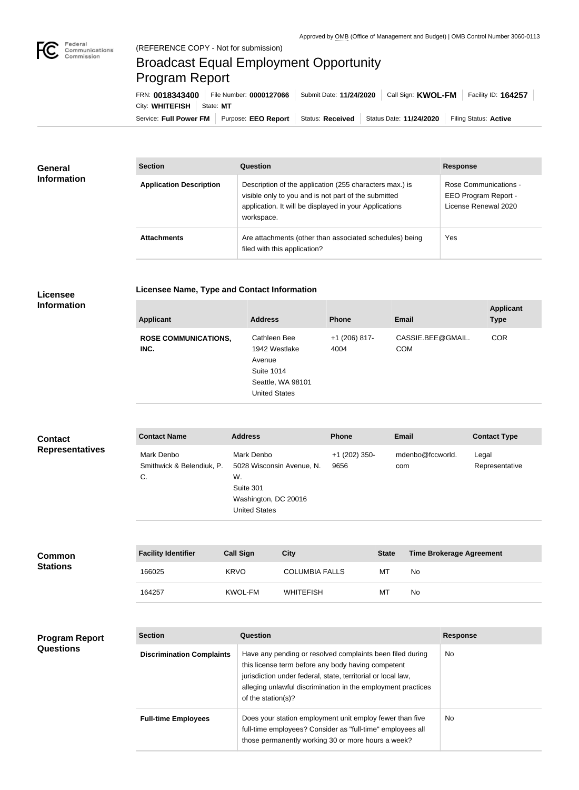

## Broadcast Equal Employment Opportunity Program Report

**Licensee Name, Type and Contact Information**

Service: Full Power FM | Purpose: EEO Report | Status: Received | Status Date: 11/24/2020 | Filing Status: Active City: **WHITEFISH** State: MT FRN: **0018343400** File Number: **0000127066** Submit Date: **11/24/2020** Call Sign: **KWOL-FM** Facility ID: **164257**

| <b>General</b><br><b>Information</b> | <b>Section</b>                 | Question                                                                                                                                                                                | <b>Response</b>                                                       |
|--------------------------------------|--------------------------------|-----------------------------------------------------------------------------------------------------------------------------------------------------------------------------------------|-----------------------------------------------------------------------|
|                                      | <b>Application Description</b> | Description of the application (255 characters max.) is<br>visible only to you and is not part of the submitted<br>application. It will be displayed in your Applications<br>workspace. | Rose Communications -<br>EEO Program Report -<br>License Renewal 2020 |
|                                      | <b>Attachments</b>             | Are attachments (other than associated schedules) being<br>filed with this application?                                                                                                 | Yes                                                                   |

## **Licensee Information**

| <b>Applicant</b>                    | <b>Address</b>                                                                                            | <b>Phone</b>            | <b>Email</b>                    | <b>Applicant</b><br><b>Type</b> |
|-------------------------------------|-----------------------------------------------------------------------------------------------------------|-------------------------|---------------------------------|---------------------------------|
| <b>ROSE COMMUNICATIONS,</b><br>INC. | Cathleen Bee<br>1942 Westlake<br>Avenue<br><b>Suite 1014</b><br>Seattle, WA 98101<br><b>United States</b> | $+1$ (206) 817-<br>4004 | CASSIE.BEE@GMAIL.<br><b>COM</b> | <b>COR</b>                      |
|                                     |                                                                                                           |                         |                                 |                                 |

| <b>Contact</b>         | <b>Address</b><br><b>Contact Name</b><br>Mark Denbo<br>Mark Denbo<br>Smithwick & Belendiuk, P.<br>C.<br>W.<br>Suite 301 |                                                                           | <b>Phone</b>            | <b>Email</b>            | <b>Contact Type</b>     |
|------------------------|-------------------------------------------------------------------------------------------------------------------------|---------------------------------------------------------------------------|-------------------------|-------------------------|-------------------------|
| <b>Representatives</b> |                                                                                                                         | 5028 Wisconsin Avenue, N.<br>Washington, DC 20016<br><b>United States</b> | $+1$ (202) 350-<br>9656 | mdenbo@fccworld.<br>com | Legal<br>Representative |

| <b>Common</b><br><b>Stations</b> | <b>Facility Identifier</b> | <b>Call Sign</b> | <b>City</b>           | <b>State</b> | Time Brokerage Agreement |
|----------------------------------|----------------------------|------------------|-----------------------|--------------|--------------------------|
|                                  | 166025                     | <b>KRVO</b>      | <b>COLUMBIA FALLS</b> | МT           | No                       |
|                                  | 164257                     | KWOL-FM          | WHITEFISH             | МT           | No                       |

## **Program Report Questions**

| <b>Section</b>                   | Question                                                                                                                                                                                                                                                              | <b>Response</b> |
|----------------------------------|-----------------------------------------------------------------------------------------------------------------------------------------------------------------------------------------------------------------------------------------------------------------------|-----------------|
| <b>Discrimination Complaints</b> | Have any pending or resolved complaints been filed during<br>this license term before any body having competent<br>jurisdiction under federal, state, territorial or local law,<br>alleging unlawful discrimination in the employment practices<br>of the station(s)? | No.             |
| <b>Full-time Employees</b>       | Does your station employment unit employ fewer than five<br>full-time employees? Consider as "full-time" employees all<br>those permanently working 30 or more hours a week?                                                                                          | No.             |